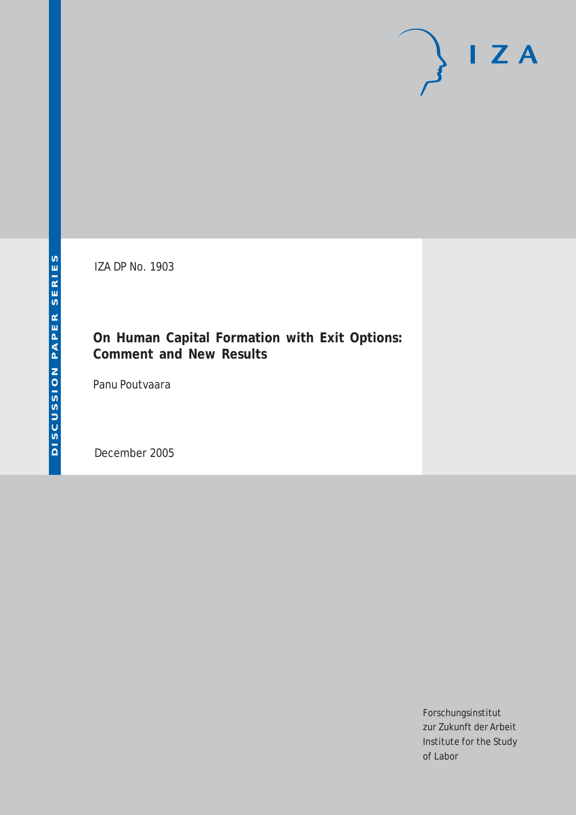# $I Z A$

IZA DP No. 1903

#### **On Human Capital Formation with Exit Options: Comment and New Results**

Panu Poutvaara

December 2005

Forschungsinstitut zur Zukunft der Arbeit Institute for the Study of Labor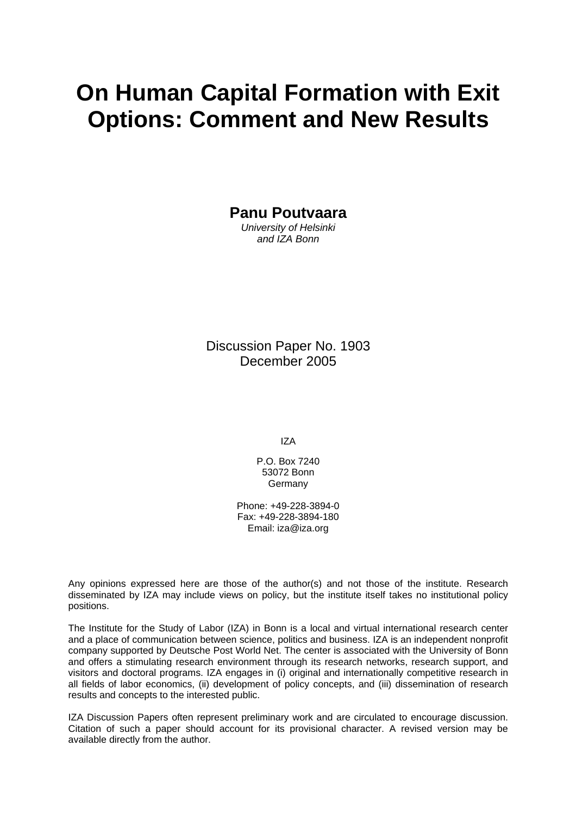# **On Human Capital Formation with Exit Options: Comment and New Results**

**Panu Poutvaara** 

*University of Helsinki and IZA Bonn* 

Discussion Paper No. 1903 December 2005

IZA

P.O. Box 7240 53072 Bonn Germany

Phone: +49-228-3894-0 Fax: +49-228-3894-180 Email: [iza@iza.org](mailto:iza@iza.org)

Any opinions expressed here are those of the author(s) and not those of the institute. Research disseminated by IZA may include views on policy, but the institute itself takes no institutional policy positions.

The Institute for the Study of Labor (IZA) in Bonn is a local and virtual international research center and a place of communication between science, politics and business. IZA is an independent nonprofit company supported by Deutsche Post World Net. The center is associated with the University of Bonn and offers a stimulating research environment through its research networks, research support, and visitors and doctoral programs. IZA engages in (i) original and internationally competitive research in all fields of labor economics, (ii) development of policy concepts, and (iii) dissemination of research results and concepts to the interested public.

IZA Discussion Papers often represent preliminary work and are circulated to encourage discussion. Citation of such a paper should account for its provisional character. A revised version may be available directly from the author.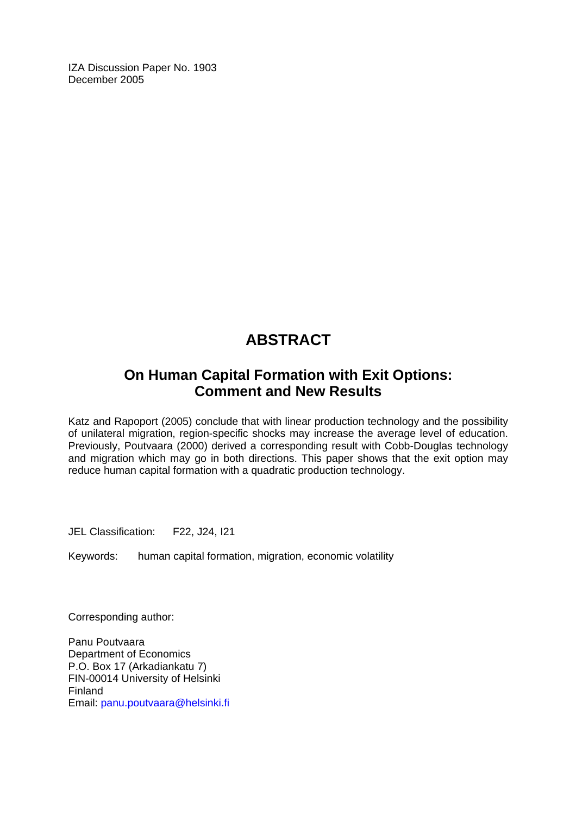IZA Discussion Paper No. 1903 December 2005

## **ABSTRACT**

### **On Human Capital Formation with Exit Options: Comment and New Results**

Katz and Rapoport (2005) conclude that with linear production technology and the possibility of unilateral migration, region-specific shocks may increase the average level of education. Previously, Poutvaara (2000) derived a corresponding result with Cobb-Douglas technology and migration which may go in both directions. This paper shows that the exit option may reduce human capital formation with a quadratic production technology.

JEL Classification: F22, J24, I21

Keywords: human capital formation, migration, economic volatility

Corresponding author:

Panu Poutvaara Department of Economics P.O. Box 17 (Arkadiankatu 7) FIN-00014 University of Helsinki Finland Email: [panu.poutvaara@helsinki.fi](mailto:panu.poutvaara@helsinki.fi)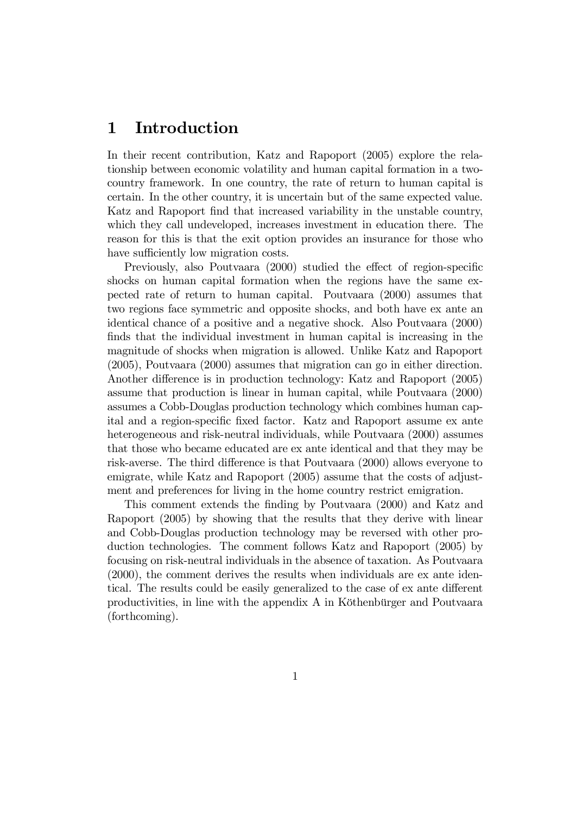#### 1 Introduction

In their recent contribution, Katz and Rapoport (2005) explore the relationship between economic volatility and human capital formation in a twocountry framework. In one country, the rate of return to human capital is certain. In the other country, it is uncertain but of the same expected value. Katz and Rapoport find that increased variability in the unstable country, which they call undeveloped, increases investment in education there. The reason for this is that the exit option provides an insurance for those who have sufficiently low migration costs.

Previously, also Poutvaara (2000) studied the effect of region-specific shocks on human capital formation when the regions have the same expected rate of return to human capital. Poutvaara (2000) assumes that two regions face symmetric and opposite shocks, and both have ex ante an identical chance of a positive and a negative shock. Also Poutvaara (2000) finds that the individual investment in human capital is increasing in the magnitude of shocks when migration is allowed. Unlike Katz and Rapoport (2005), Poutvaara (2000) assumes that migration can go in either direction. Another difference is in production technology: Katz and Rapoport (2005) assume that production is linear in human capital, while Poutvaara (2000) assumes a Cobb-Douglas production technology which combines human capital and a region-specific fixed factor. Katz and Rapoport assume ex ante heterogeneous and risk-neutral individuals, while Poutvaara (2000) assumes that those who became educated are ex ante identical and that they may be risk-averse. The third difference is that Poutvaara (2000) allows everyone to emigrate, while Katz and Rapoport (2005) assume that the costs of adjustment and preferences for living in the home country restrict emigration.

This comment extends the finding by Poutvaara (2000) and Katz and Rapoport (2005) by showing that the results that they derive with linear and Cobb-Douglas production technology may be reversed with other production technologies. The comment follows Katz and Rapoport (2005) by focusing on risk-neutral individuals in the absence of taxation. As Poutvaara (2000), the comment derives the results when individuals are ex ante identical. The results could be easily generalized to the case of ex ante different productivities, in line with the appendix A in Köthenbürger and Poutvaara (forthcoming).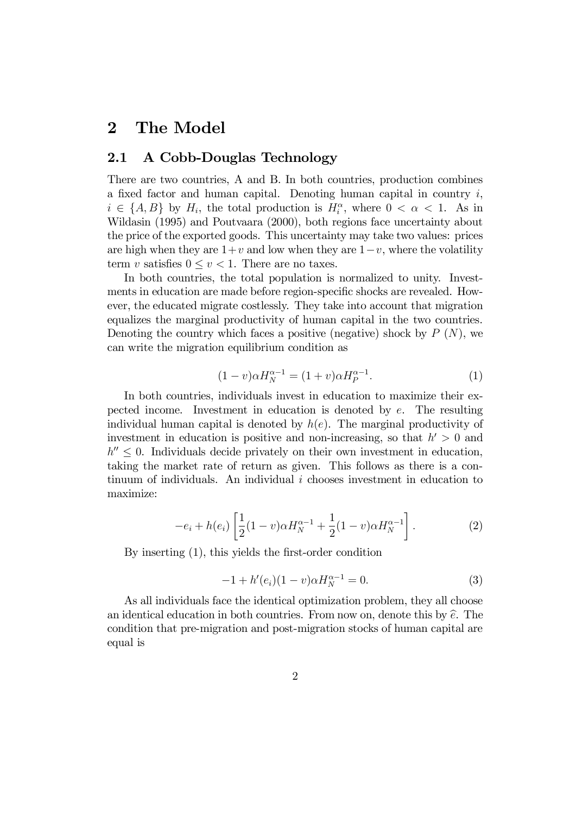#### 2 The Model

#### 2.1 A Cobb-Douglas Technology

There are two countries, A and B. In both countries, production combines a fixed factor and human capital. Denoting human capital in country  $i$ ,  $i \in \{A, B\}$  by  $H_i$ , the total production is  $H_i^{\alpha}$ , where  $0 < \alpha < 1$ . As in Wildasin (1995) and Poutvaara (2000), both regions face uncertainty about the price of the exported goods. This uncertainty may take two values: prices are high when they are  $1+v$  and low when they are  $1-v$ , where the volatility term v satisfies  $0 \le v < 1$ . There are no taxes.

In both countries, the total population is normalized to unity. Investments in education are made before region-specific shocks are revealed. However, the educated migrate costlessly. They take into account that migration equalizes the marginal productivity of human capital in the two countries. Denoting the country which faces a positive (negative) shock by  $P(N)$ , we can write the migration equilibrium condition as

$$
(1 - v)\alpha H_N^{\alpha - 1} = (1 + v)\alpha H_P^{\alpha - 1}.
$$
 (1)

In both countries, individuals invest in education to maximize their expected income. Investment in education is denoted by  $e$ . The resulting individual human capital is denoted by  $h(e)$ . The marginal productivity of investment in education is positive and non-increasing, so that  $h' > 0$  and  $h'' \leq 0$ . Individuals decide privately on their own investment in education, taking the market rate of return as given. This follows as there is a continuum of individuals. An individual  $i$  chooses investment in education to maximize:

$$
-e_i + h(e_i) \left[ \frac{1}{2} (1 - v) \alpha H_N^{\alpha - 1} + \frac{1}{2} (1 - v) \alpha H_N^{\alpha - 1} \right]. \tag{2}
$$

By inserting  $(1)$ , this yields the first-order condition

$$
-1 + h'(e_i)(1 - v)\alpha H_N^{\alpha - 1} = 0.
$$
 (3)

As all individuals face the identical optimization problem, they all choose an identical education in both countries. From now on, denote this by  $\hat{e}$ . The condition that pre-migration and post-migration stocks of human capital are equal is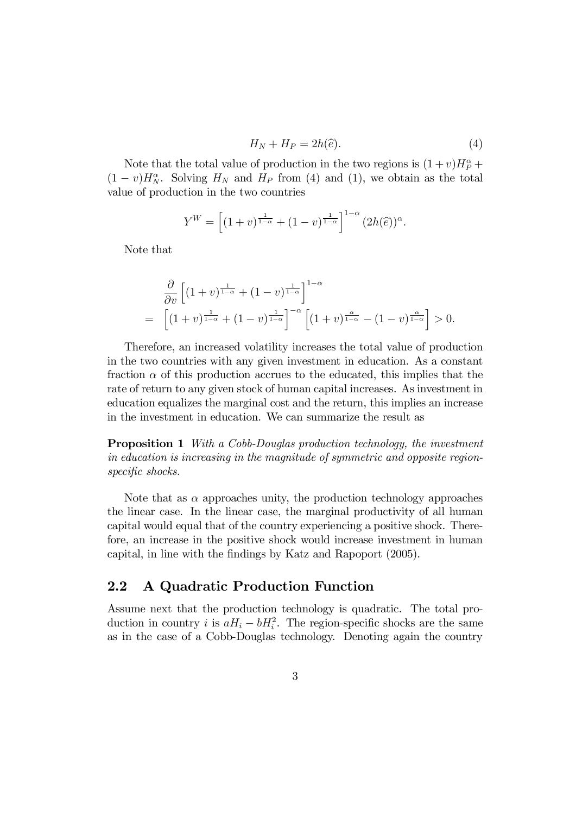$$
H_N + H_P = 2h(\hat{e}).\tag{4}
$$

Note that the total value of production in the two regions is  $(1+v)H_P^{\alpha}$  +  $(1-v)H_N^{\alpha}$ . Solving  $H_N$  and  $H_P$  from (4) and (1), we obtain as the total value of production in the two countries

$$
Y^{W} = \left[ (1 + v)^{\frac{1}{1 - \alpha}} + (1 - v)^{\frac{1}{1 - \alpha}} \right]^{1 - \alpha} (2h(\widehat{e}))^{\alpha}.
$$

Note that

$$
\frac{\partial}{\partial v} \left[ (1+v)^{\frac{1}{1-\alpha}} + (1-v)^{\frac{1}{1-\alpha}} \right]^{1-\alpha} \n= \left[ (1+v)^{\frac{1}{1-\alpha}} + (1-v)^{\frac{1}{1-\alpha}} \right]^{-\alpha} \left[ (1+v)^{\frac{\alpha}{1-\alpha}} - (1-v)^{\frac{\alpha}{1-\alpha}} \right] > 0.
$$

Therefore, an increased volatility increases the total value of production in the two countries with any given investment in education. As a constant fraction  $\alpha$  of this production accrues to the educated, this implies that the rate of return to any given stock of human capital increases. As investment in education equalizes the marginal cost and the return, this implies an increase in the investment in education. We can summarize the result as

Proposition 1 *With a Cobb-Douglas production technology, the investment in education is increasing in the magnitude of symmetric and opposite regionspecific shocks.* 

Note that as  $\alpha$  approaches unity, the production technology approaches the linear case. In the linear case, the marginal productivity of all human capital would equal that of the country experiencing a positive shock. Therefore, an increase in the positive shock would increase investment in human capital, in line with the findings by Katz and Rapoport (2005).

#### 2.2 A Quadratic Production Function

Assume next that the production technology is quadratic. The total production in country *i* is  $aH_i - bH_i^2$ . The region-specific shocks are the same as in the case of a Cobb-Douglas technology. Denoting again the country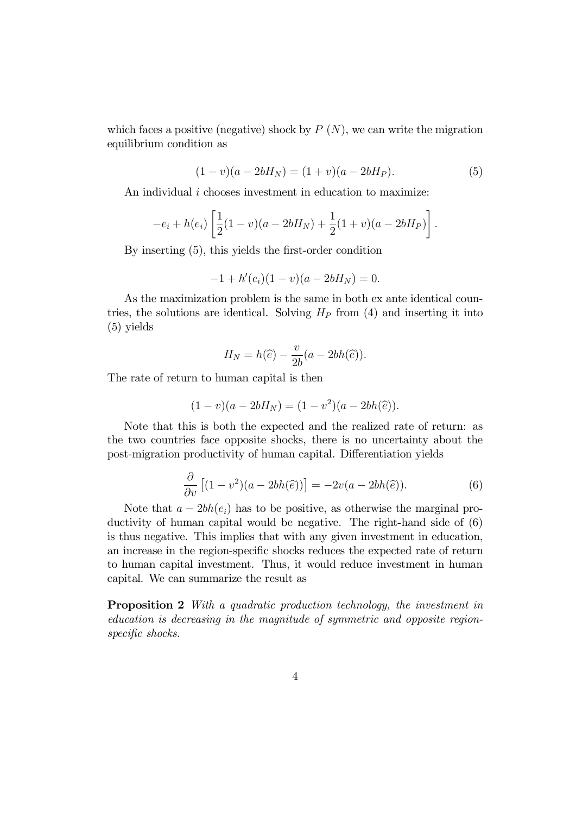which faces a positive (negative) shock by  $P(N)$ , we can write the migration equilibrium condition as

$$
(1 - v)(a - 2bH_N) = (1 + v)(a - 2bH_P).
$$
 (5)

An individual *i* chooses investment in education to maximize:

$$
-e_i + h(e_i) \left[ \frac{1}{2}(1-v)(a-2bH_N) + \frac{1}{2}(1+v)(a-2bH_P) \right].
$$

By inserting  $(5)$ , this yields the first-order condition

$$
-1 + h'(e_i)(1 - v)(a - 2bH_N) = 0.
$$

As the maximization problem is the same in both ex ante identical countries, the solutions are identical. Solving  $H_P$  from (4) and inserting it into (5) yields

$$
H_N = h(\widehat{e}) - \frac{v}{2b}(a - 2bh(\widehat{e})).
$$

The rate of return to human capital is then

$$
(1 - v)(a - 2bH_N) = (1 - v^2)(a - 2bh(\hat{e})).
$$

Note that this is both the expected and the realized rate of return: as the two countries face opposite shocks, there is no uncertainty about the post-migration productivity of human capital. Differentiation yields

$$
\frac{\partial}{\partial v}\left[ (1 - v^2)(a - 2bh(\hat{e})) \right] = -2v(a - 2bh(\hat{e})).\tag{6}
$$

Note that  $a - 2bh(e_i)$  has to be positive, as otherwise the marginal productivity of human capital would be negative. The right-hand side of (6) is thus negative. This implies that with any given investment in education, an increase in the region-specific shocks reduces the expected rate of return to human capital investment. Thus, it would reduce investment in human capital. We can summarize the result as

Proposition 2 *With a quadratic production technology, the investment in education is decreasing in the magnitude of symmetric and opposite region*specific shocks.